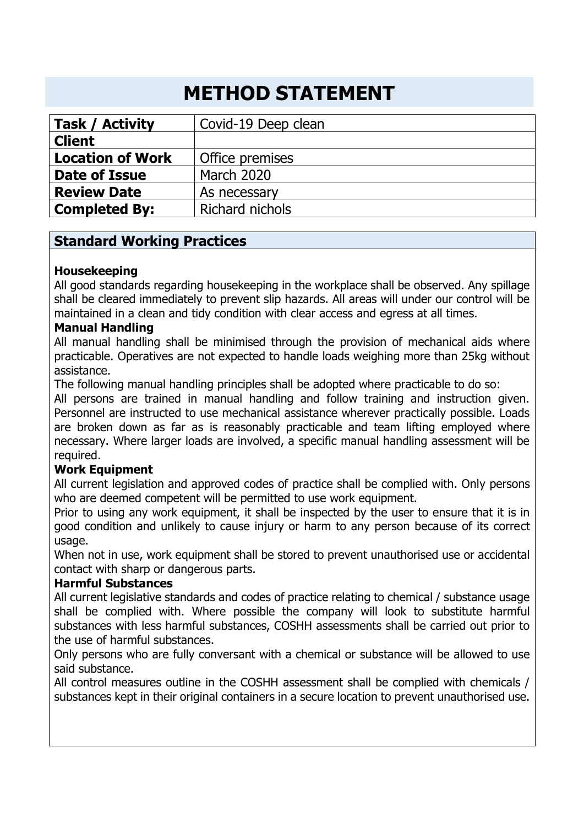# **METHOD STATEMENT**

| <b>Task / Activity</b>  | Covid-19 Deep clean    |  |
|-------------------------|------------------------|--|
| <b>Client</b>           |                        |  |
| <b>Location of Work</b> | Office premises        |  |
| Date of Issue           | <b>March 2020</b>      |  |
| <b>Review Date</b>      | As necessary           |  |
| <b>Completed By:</b>    | <b>Richard nichols</b> |  |

## **Standard Working Practices**

## **Housekeeping**

All good standards regarding housekeeping in the workplace shall be observed. Any spillage shall be cleared immediately to prevent slip hazards. All areas will under our control will be maintained in a clean and tidy condition with clear access and egress at all times.

### **Manual Handling**

All manual handling shall be minimised through the provision of mechanical aids where practicable. Operatives are not expected to handle loads weighing more than 25kg without assistance.

The following manual handling principles shall be adopted where practicable to do so:

All persons are trained in manual handling and follow training and instruction given. Personnel are instructed to use mechanical assistance wherever practically possible. Loads are broken down as far as is reasonably practicable and team lifting employed where necessary. Where larger loads are involved, a specific manual handling assessment will be required.

### **Work Equipment**

All current legislation and approved codes of practice shall be complied with. Only persons who are deemed competent will be permitted to use work equipment.

Prior to using any work equipment, it shall be inspected by the user to ensure that it is in good condition and unlikely to cause injury or harm to any person because of its correct usage.

When not in use, work equipment shall be stored to prevent unauthorised use or accidental contact with sharp or dangerous parts.

### **Harmful Substances**

All current legislative standards and codes of practice relating to chemical / substance usage shall be complied with. Where possible the company will look to substitute harmful substances with less harmful substances, COSHH assessments shall be carried out prior to the use of harmful substances.

Only persons who are fully conversant with a chemical or substance will be allowed to use said substance.

All control measures outline in the COSHH assessment shall be complied with chemicals / substances kept in their original containers in a secure location to prevent unauthorised use.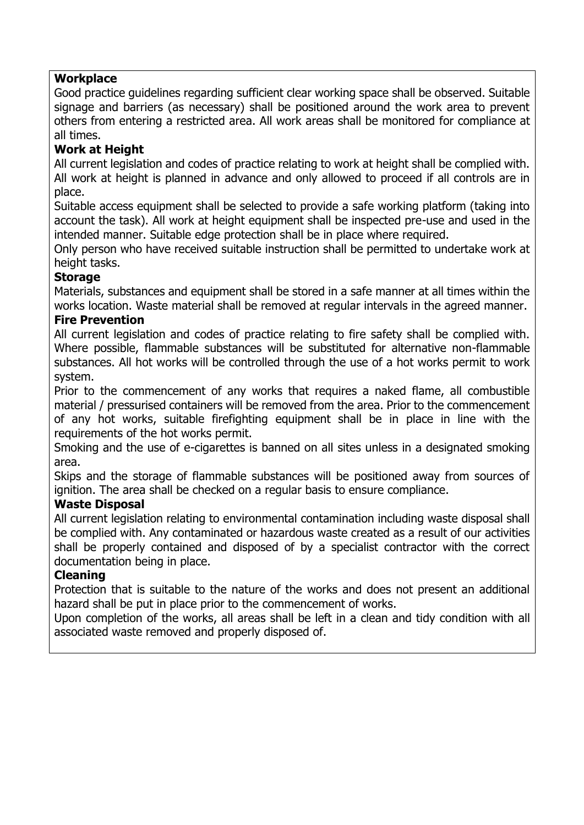#### **Workplace**

Good practice guidelines regarding sufficient clear working space shall be observed. Suitable signage and barriers (as necessary) shall be positioned around the work area to prevent others from entering a restricted area. All work areas shall be monitored for compliance at all times.

### **Work at Height**

All current legislation and codes of practice relating to work at height shall be complied with. All work at height is planned in advance and only allowed to proceed if all controls are in place.

Suitable access equipment shall be selected to provide a safe working platform (taking into account the task). All work at height equipment shall be inspected pre-use and used in the intended manner. Suitable edge protection shall be in place where required.

Only person who have received suitable instruction shall be permitted to undertake work at height tasks.

### **Storage**

Materials, substances and equipment shall be stored in a safe manner at all times within the works location. Waste material shall be removed at regular intervals in the agreed manner.

### **Fire Prevention**

All current legislation and codes of practice relating to fire safety shall be complied with. Where possible, flammable substances will be substituted for alternative non-flammable substances. All hot works will be controlled through the use of a hot works permit to work system.

Prior to the commencement of any works that requires a naked flame, all combustible material / pressurised containers will be removed from the area. Prior to the commencement of any hot works, suitable firefighting equipment shall be in place in line with the requirements of the hot works permit.

Smoking and the use of e-cigarettes is banned on all sites unless in a designated smoking area.

Skips and the storage of flammable substances will be positioned away from sources of ignition. The area shall be checked on a regular basis to ensure compliance.

### **Waste Disposal**

All current legislation relating to environmental contamination including waste disposal shall be complied with. Any contaminated or hazardous waste created as a result of our activities shall be properly contained and disposed of by a specialist contractor with the correct documentation being in place.

### **Cleaning**

Protection that is suitable to the nature of the works and does not present an additional hazard shall be put in place prior to the commencement of works.

Upon completion of the works, all areas shall be left in a clean and tidy condition with all associated waste removed and properly disposed of.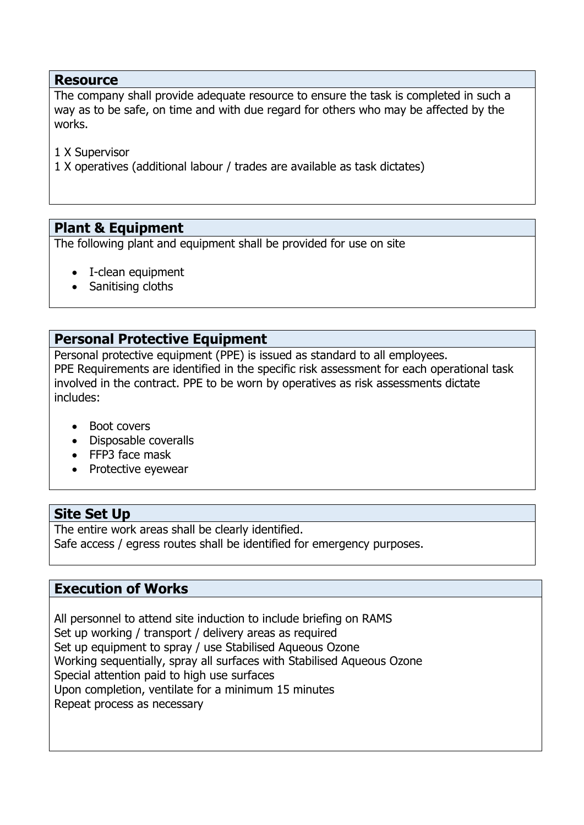#### **Resource**

The company shall provide adequate resource to ensure the task is completed in such a way as to be safe, on time and with due regard for others who may be affected by the works.

1 X Supervisor

1 X operatives (additional labour / trades are available as task dictates)

# **Plant & Equipment**

The following plant and equipment shall be provided for use on site

- I-clean equipment
- Sanitising cloths

## **Personal Protective Equipment**

Personal protective equipment (PPE) is issued as standard to all employees. PPE Requirements are identified in the specific risk assessment for each operational task involved in the contract. PPE to be worn by operatives as risk assessments dictate includes:

- Boot covers
- Disposable coveralls
- FFP3 face mask
- Protective eyewear

## **Site Set Up**

The entire work areas shall be clearly identified. Safe access / egress routes shall be identified for emergency purposes.

## **Execution of Works**

All personnel to attend site induction to include briefing on RAMS Set up working / transport / delivery areas as required Set up equipment to spray / use Stabilised Aqueous Ozone Working sequentially, spray all surfaces with Stabilised Aqueous Ozone Special attention paid to high use surfaces Upon completion, ventilate for a minimum 15 minutes Repeat process as necessary